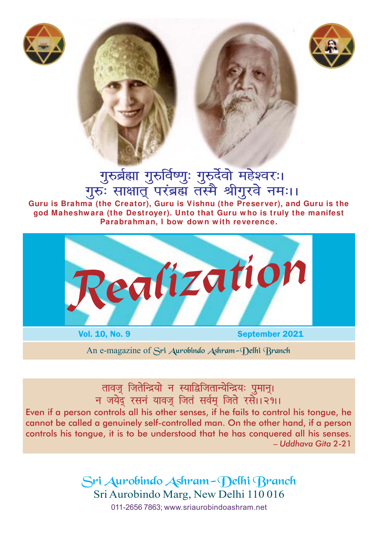



# गुरुर्ब्रह्मा गुरुर्विष्णुः गुरुर्<mark>देवो महेश्वरः</mark>। wa serven wa ing serven in the serven was also the serve that the serve in the serve in the serve in the serve<br><mark>गुरुः साक्षात् परंब्रह्म तस्मै श्रीगुरवे नमः।।</mark>

**Guru is Brahma (the Creator), Guru is Vishnu (the Preserver), and Guru is the god Maheshw ara (the Destroyer). Unto that Guru w ho is truly the manifest** Parabrahman, I bow down with reverence.



An e-magazine of Sri Aurobindo Ashram-Delhi Branch

तावजू जितेन्द्रियो न स्याद्विजितान्येन्द्रियः पुमानु। न जयेदू रसनं यावजू जितं सर्वमू जिते रसे।।२१।।

Even if a person controls all his other senses, if he fails to control his tongue, he cannot be called a genuinely self-controlled man. On the other hand, if a person controls his tongue, it is to be understood that he has conquered all his senses. – *Uddhava Gita* 2-21

> Sri Aurobindo Ashram-Delhi Branch Sri Aurobindo Marg, New Delhi 110 016

011-2656 7863; www.sriaurobindoashram.net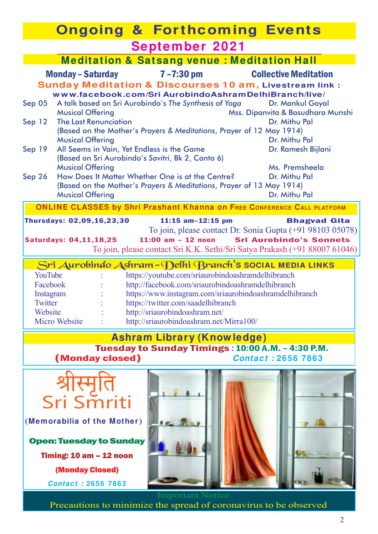# **Ongoing & Forthcoming Events September 2021**

|                                                                 |                                                                      | <b>Meditation &amp; Satsang venue: Meditation Hall</b>                         |  |  |  |  |
|-----------------------------------------------------------------|----------------------------------------------------------------------|--------------------------------------------------------------------------------|--|--|--|--|
| <b>Monday – Saturday</b>                                        | $7 - 7:30$ pm                                                        | <b>Collective Meditation</b>                                                   |  |  |  |  |
|                                                                 |                                                                      | <b>Sunday Meditation &amp; Discourses 10 am, Livestream link:</b>              |  |  |  |  |
|                                                                 |                                                                      | www.facebook.com/Sri AurobindoAshramDelhiBranch/live/                          |  |  |  |  |
| Sep 05<br><b>Musical Offering</b>                               | A talk based on Sri Aurobindo's The Synthesis of Yoga                | Dr. Mankul Goyal<br>Mss. Dipanvita & Basudhara Munshi                          |  |  |  |  |
| <b>The Last Renunciation</b><br>Sep 12                          |                                                                      | Dr. Mithu Pal                                                                  |  |  |  |  |
|                                                                 | (Based on the Mother's Prayers & Meditations, Prayer of 12 May 1914) |                                                                                |  |  |  |  |
| <b>Musical Offering</b>                                         |                                                                      | Dr. Mithu Pal                                                                  |  |  |  |  |
| All Seems in Vain, Yet Endless is the Game<br>Sep <sub>19</sub> |                                                                      | Dr. Ramesh Bijlani                                                             |  |  |  |  |
| <b>Musical Offering</b>                                         | (Based on Sri Aurobindo's Savitri, Bk 2, Canto 6)                    | Ms. Premsheela                                                                 |  |  |  |  |
| Sep 26                                                          | How Does It Matter Whether One is at the Centre?                     | Dr. Mithu Pal                                                                  |  |  |  |  |
|                                                                 | (Based on the Mother's Prayers & Meditations, Prayer of 13 May 1914) |                                                                                |  |  |  |  |
| <b>Musical Offering</b>                                         |                                                                      | Dr. Mithu Pal                                                                  |  |  |  |  |
|                                                                 |                                                                      | <b>ONLINE CLASSES by Shri Prashant Khanna on FREE CONFERENCE CALL PLATFORM</b> |  |  |  |  |
| Thursdays: 02,09,16,23,30                                       | 11:15 am-12:15 pm                                                    | <b>Bhagvad Gita</b>                                                            |  |  |  |  |
|                                                                 |                                                                      | To join, please contact Dr. Sonia Gupta (+91 98103 05078)                      |  |  |  |  |
| <b>Saturdays: 04,11,18,25</b>                                   | $11:00$ am $-12$ noon                                                | <b>Sri Aurobindo's Sonnets</b>                                                 |  |  |  |  |
|                                                                 |                                                                      | To join, please contact Sri K.K. Sethi/Sri Satya Prakash (+91 88007 61046)     |  |  |  |  |
|                                                                 |                                                                      | Sri Aurobindo Ashram-Delhi Branch's social MEDIA LINKS                         |  |  |  |  |
| YouTube                                                         | https://youtube.com/sriaurobindoashramdelhibranch                    |                                                                                |  |  |  |  |
| Facebook                                                        | http://facebook.com/sriaurobindoashramdelhibranch                    |                                                                                |  |  |  |  |
| Instagram                                                       |                                                                      | https://www.instagram.com/sriaurobindoashramdelhibranch                        |  |  |  |  |
| Twitter<br>Website                                              | https://twitter.com/saadelhibranch<br>http://sriaurobindoashram.net/ |                                                                                |  |  |  |  |
| Micro Website                                                   | http://sriaurobindoashram.net/Mirra100/                              |                                                                                |  |  |  |  |
|                                                                 |                                                                      |                                                                                |  |  |  |  |
| <b>Ashram Library (Knowledge)</b>                               |                                                                      |                                                                                |  |  |  |  |
|                                                                 |                                                                      | Tuesday to Sunday Timings: 10:00 A.M. - 4:30 P.M.                              |  |  |  |  |
| (Monday closed)                                                 |                                                                      | <b>Contact: 2656 7863</b>                                                      |  |  |  |  |
|                                                                 |                                                                      |                                                                                |  |  |  |  |
|                                                                 |                                                                      |                                                                                |  |  |  |  |
| े श्रीस्मृति<br>Sri Smriti                                      |                                                                      |                                                                                |  |  |  |  |
|                                                                 |                                                                      |                                                                                |  |  |  |  |
| (Memorabilia of the Mother)                                     |                                                                      |                                                                                |  |  |  |  |
|                                                                 |                                                                      |                                                                                |  |  |  |  |
| <b>Open: Tuesday to Sunday</b>                                  |                                                                      |                                                                                |  |  |  |  |
| <b>Timing: 10 am - 12 noon</b>                                  |                                                                      |                                                                                |  |  |  |  |
|                                                                 |                                                                      |                                                                                |  |  |  |  |
| (Monday Closed)                                                 |                                                                      |                                                                                |  |  |  |  |

**Contact : 2656 7863**

Important Notice

Precautions to minimize the spread of coronavirus to be observed

**FROM**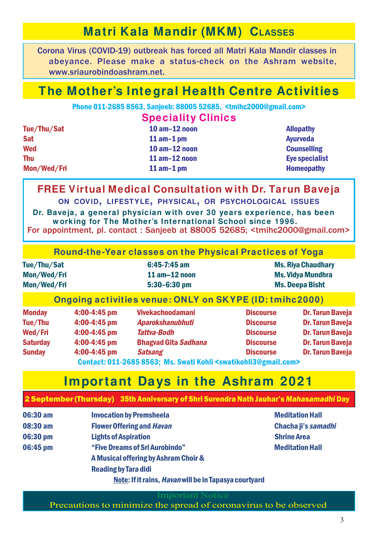| <b>Meditation Hall</b><br>Chacha ji's samadhi<br><b>Shrine Area</b><br><b>Meditation Hall</b> | Surendra Nath Jauhar's Mahasamadhi Da |  |  |  |  |
|-----------------------------------------------------------------------------------------------|---------------------------------------|--|--|--|--|
| in Tapasya courtyard                                                                          |                                       |  |  |  |  |
| Notice<br>of coronavirus to be observed                                                       |                                       |  |  |  |  |
|                                                                                               |                                       |  |  |  |  |

# **Matri Kala Mandir (MKM) CLASSES**

Corona Virus (COVID-19) outbreak has forced all Matri Kala Mandir classes in abeyance. Please make a status-check on the Ashram website, www.sriaurobindoashram.net.

# **The Mother's Integral Health Centre Activities**

#### Phone 011-2685 8563, Sanjeeb: 88005 52685, <tmihc2000@gmail.com>

## **Speciality Clinics**

| Tue/Thu/Sat |  |
|-------------|--|
| <b>Sat</b>  |  |
| <b>Wed</b>  |  |
| <b>Thu</b>  |  |
| Mon/Wed/Fri |  |

**Thursday** 10 am–12 noon **Allopathy** Sat 11 am–1 pm Ayurveda 10 am–12 noon Counselling 11 am–12 noon Eye specialist 11 am–1 pm Homeopathy

**FREE Virtual Medical Consultation w ith Dr. Tarun Baveja ON COVID, LIFESTYLE, PHYSICAL, OR PSYCHOLOGICAL ISSUES**

**Dr. Baveja, a general physician w ith over 30 years experience, has been w orking for The Mother's International School since 1996.** For appointment, pl. contact : Sanjeeb at 88005 52685; <tmihc2000@gmail.com>

**Round-the-Year classes on the Physical Practices of Yoga**

Mon/Wed/Fri 5:30–6:30 pm Ms. Deepa Bisht

Tue/Thu/Sat 6:45-7:45 am music chaudhary 6:45-7:45 am music method and music method of the Ms. Riva Chaudhary Mon/Wed/Fri 2012 11 am–12 noon Ms. Vidya Mundhra

### **Ongoing activities venue: ONLY on SKYPE (ID: tmihc2000)**

| <b>Monday</b>   | $4:00 - 4:45$ pm                                                                        | <b>Vivekachoodamani</b>     | <b>Discourse</b> | <b>Dr. Tarun Baveja</b> |  |
|-----------------|-----------------------------------------------------------------------------------------|-----------------------------|------------------|-------------------------|--|
| Tue/Thu         | $4:00 - 4:45$ pm                                                                        | <b>Aparokshanubhuti</b>     | <b>Discourse</b> | <b>Dr. Tarun Baveja</b> |  |
| Wed/Fri         | $4:00 - 4:45$ pm                                                                        | Tattva-Bodh                 | <b>Discourse</b> | <b>Dr. Tarun Baveja</b> |  |
| <b>Saturday</b> | $4:00 - 4:45$ pm                                                                        | <b>Bhagvad Gita Sadhana</b> | <b>Discourse</b> | <b>Dr. Tarun Baveja</b> |  |
| <b>Sunday</b>   | $4:00 - 4:45$ pm                                                                        | <b>Satsang</b>              | <b>Discourse</b> | <b>Dr. Tarun Baveja</b> |  |
|                 | Contact: 011-2685 8563; Ms. Swati Kohli <swatikohli3@gmail.com></swatikohli3@gmail.com> |                             |                  |                         |  |

## **Important Days in the Ashram 2021**

2 September (Thursday) 35th Anniversary of Shr

06:30 am Invocation by Premsheela 08:30 am Flower Offering and Havan 06:30 pm Lights of Aspiration 06:45 pm "Five Dreams of Sri Aurobindo" A Musical offering by Ashram Choir & Reading by Tara didi

Note: If it rains, Havan will be

Important Notice

Precautions to minimize the spread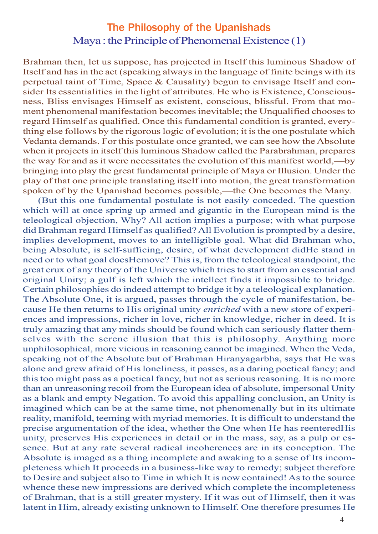## The Philosophy of the Upanishads Maya : the Principle of Phenomenal Existence (1)

Brahman then, let us suppose, has projected in Itself this luminous Shadow of Itself and has in the act (speaking always in the language of finite beings with its perpetual taint of Time, Space & Causality) begun to envisage Itself and consider Its essentialities in the light of attributes. He who is Existence, Consciousness, Bliss envisages Himself as existent, conscious, blissful. From that moment phenomenal manifestation becomes inevitable; the Unqualified chooses to regard Himself as qualified. Once this fundamental condition is granted, everything else follows by the rigorous logic of evolution; it is the one postulate which Vedanta demands. For this postulate once granted, we can see how the Absolute when it projects in itself this luminous Shadow called the Parabrahman, prepares the way for and as it were necessitates the evolution of this manifest world,—by bringing into play the great fundamental principle of Maya or Illusion. Under the play of that one principle translating itself into motion, the great transformation spoken of by the Upanishad becomes possible,—the One becomes the Many.

(But this one fundamental postulate is not easily conceded. The question which will at once spring up armed and gigantic in the European mind is the teleological objection, Why? All action implies a purpose; with what purpose did Brahman regard Himself as qualified? All Evolution is prompted by a desire, implies development, moves to an intelligible goal. What did Brahman who, being Absolute, is self-sufficing, desire, of what development didHe stand in need or to what goal doesHemove? This is, from the teleological standpoint, the great crux of any theory of the Universe which tries to start from an essential and original Unity; a gulf is left which the intellect finds it impossible to bridge. Certain philosophies do indeed attempt to bridge it by a teleological explanation. The Absolute One, it is argued, passes through the cycle of manifestation, because He then returns to His original unity *enriched* with a new store of experiences and impressions, richer in love, richer in knowledge, richer in deed. It is truly amazing that any minds should be found which can seriously flatter themselves with the serene illusion that this is philosophy. Anything more unphilosophical, more vicious in reasoning cannot be imagined. When the Veda, speaking not of the Absolute but of Brahman Hiranyagarbha, says that He was alone and grew afraid of His loneliness, it passes, as a daring poetical fancy; and this too might pass as a poetical fancy, but not as serious reasoning. It is no more than an unreasoning recoil from the European idea of absolute, impersonal Unity as a blank and empty Negation. To avoid this appalling conclusion, an Unity is imagined which can be at the same time, not phenomenally but in its ultimate reality, manifold, teeming with myriad memories. It is difficult to understand the precise argumentation of the idea, whether the One when He has reenteredHis unity, preserves His experiences in detail or in the mass, say, as a pulp or essence. But at any rate several radical incoherences are in its conception. The Absolute is imaged as a thing incomplete and awaking to a sense of Its incompleteness which It proceeds in a business-like way to remedy; subject therefore to Desire and subject also to Time in which It is now contained! As to the source whence these new impressions are derived which complete the incompleteness of Brahman, that is a still greater mystery. If it was out of Himself, then it was latent in Him, already existing unknown to Himself. One therefore presumes He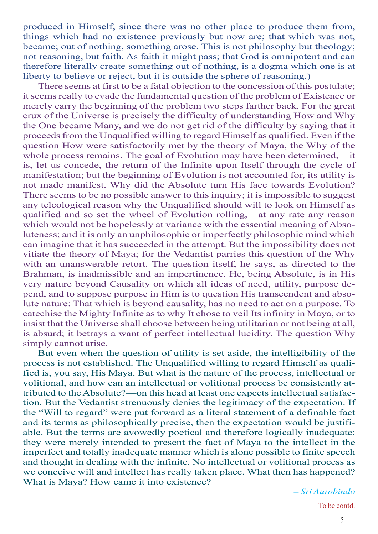produced in Himself, since there was no other place to produce them from, things which had no existence previously but now are; that which was not, became; out of nothing, something arose. This is not philosophy but theology; not reasoning, but faith. As faith it might pass; that God is omnipotent and can therefore literally create something out of nothing, is a dogma which one is at liberty to believe or reject, but it is outside the sphere of reasoning.)

There seems at first to be a fatal objection to the concession of this postulate; it seems really to evade the fundamental question of the problem of Existence or merely carry the beginning of the problem two steps farther back. For the great crux of the Universe is precisely the difficulty of understanding How and Why the One became Many, and we do not get rid of the difficulty by saying that it proceeds from the Unqualified willing to regard Himself as qualified. Even if the question How were satisfactorily met by the theory of Maya, the Why of the whole process remains. The goal of Evolution may have been determined,—it is, let us concede, the return of the Infinite upon Itself through the cycle of manifestation; but the beginning of Evolution is not accounted for, its utility is not made manifest. Why did the Absolute turn His face towards Evolution? There seems to be no possible answer to this inquiry; it is impossible to suggest any teleological reason why the Unqualified should will to look on Himself as qualified and so set the wheel of Evolution rolling,—at any rate any reason which would not be hopelessly at variance with the essential meaning of Absoluteness; and it is only an unphilosophic or imperfectly philosophic mind which can imagine that it has succeeded in the attempt. But the impossibility does not vitiate the theory of Maya; for the Vedantist parries this question of the Why with an unanswerable retort. The question itself, he says, as directed to the Brahman, is inadmissible and an impertinence. He, being Absolute, is in His very nature beyond Causality on which all ideas of need, utility, purpose depend, and to suppose purpose in Him is to question His transcendent and absolute nature: That which is beyond causality, has no need to act on a purpose. To catechise the Mighty Infinite as to why It chose to veil Its infinity in Maya, or to insist that the Universe shall choose between being utilitarian or not being at all, is absurd; it betrays a want of perfect intellectual lucidity. The question Why simply cannot arise.

But even when the question of utility is set aside, the intelligibility of the process is not established. The Unqualified willing to regard Himself as qualified is, you say, His Maya. But what is the nature of the process, intellectual or volitional, and how can an intellectual or volitional process be consistently attributed to the Absolute?—on this head at least one expects intellectual satisfaction. But the Vedantist strenuously denies the legitimacy of the expectation. If the "Will to regard" were put forward as a literal statement of a definable fact and its terms as philosophically precise, then the expectation would be justifiable. But the terms are avowedly poetical and therefore logically inadequate; they were merely intended to present the fact of Maya to the intellect in the imperfect and totally inadequate manner which is alone possible to finite speech and thought in dealing with the infinite. No intellectual or volitional process as we conceive will and intellect has really taken place. What then has happened? What is Maya? How came it into existence?

*– Sri Aurobindo*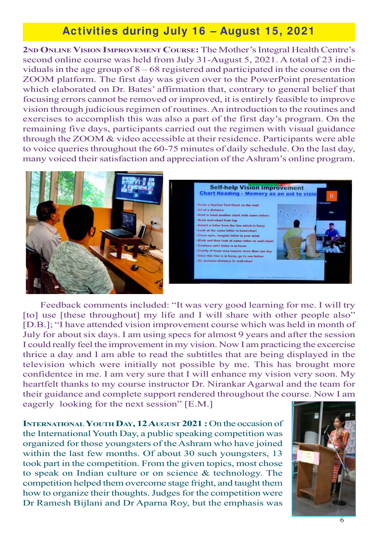## **Activities during July 16 – August 15, 2021**

**2ND ONLINE VISION IMPROVEMENT COURSE:** The Mother's Integral Health Centre's second online course was held from July 31-August 5, 2021. A total of 23 individuals in the age group of 8 – 68 registered and participated in the course on the ZOOM platform. The first day was given over to the PowerPoint presentation which elaborated on Dr. Bates' affirmation that, contrary to general belief that focusing errors cannot be removed or improved, it is entirely feasible to improve vision through judicious regimen of routines. An introduction to the routines and exercises to accomplish this was also a part of the first day's program. On the remaining five days, participants carried out the regimen with visual guidance through the ZOOM & video accessible at their residence. Participants were able to voice queries throughout the 60-75 minutes of daily schedule. On the last day, many voiced their satisfaction and appreciation of the Ashram's online program.



 Feedback comments included: "It was very good learning for me. I will try [to] use [these throughout] my life and I will share with other people also" [D.B.]; "I have attended vision improvement course which was held in month of July for about six days. I am using specs for almost 9 years and after the session I could really feel the improvement in my vision. Now I am practicing the excercise thrice a day and I am able to read the subtitles that are being displayed in the television which were initially not possible by me. This has brought more confidentce in me. I am very sure that I will enhance my vision very soon. My heartfelt thanks to my course instructor Dr. Nirankar Agarwal and the team for their guidance and complete support rendered throughout the course. Now I am eagerly looking for the next session" [E.M.]

**INTERNATIONAL YOUTH DAY, 12 AUGUST 2021 :** On the occasion of the International Youth Day, a public speaking competition was organized for those youngsters of the Ashram who have joined within the last few months. Of about 30 such youngsters, 13 took part in the competition. From the given topics, most chose to speak on Indian culture or on science & technology. The competition helped them overcome stage fright, and taught them how to organize their thoughts. Judges for the competition were Dr Ramesh Bijlani and Dr Aparna Roy, but the emphasis was

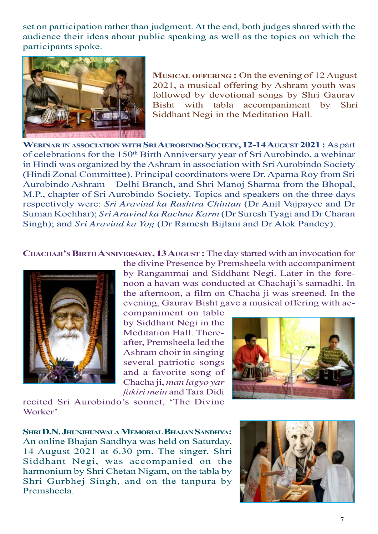set on participation rather than judgment. At the end, both judges shared with the audience their ideas about public speaking as well as the topics on which the participants spoke.



**MUSICAL OFFERING :** On the evening of 12 August 2021, a musical offering by Ashram youth was followed by devotional songs by Shri Gaurav Bisht with tabla accompaniment by Shri Siddhant Negi in the Meditation Hall.

**WEBINAR IN ASSOCIATION WITH SRI AUROBINDO SOCIETY, 12-14 AUGUST 2021 :** As part of celebrations for the 150<sup>th</sup> Birth Anniversary year of Sri Aurobindo, a webinar in Hindi was organized by the Ashram in association with Sri Aurobindo Society (Hindi Zonal Committee). Principal coordinators were Dr. Aparna Roy from Sri Aurobindo Ashram – Delhi Branch, and Shri Manoj Sharma from the Bhopal, M.P., chapter of Sri Aurobindo Society. Topics and speakers on the three days respectively were: *Sri Aravind ka Rashtra Chintan* (Dr Anil Vajpayee and Dr Suman Kochhar); *Sri Aravind ka Rachna Karm* (Dr Suresh Tyagi and Dr Charan Singh); and *Sri Aravind ka Yog* (Dr Ramesh Bijlani and Dr Alok Pandey).

**CHACHAJI'S BIRTH ANNIVERSARY, 13 AUGUST :** The day started with an invocation for



the divine Presence by Premsheela with accompaniment by Rangammai and Siddhant Negi. Later in the forenoon a havan was conducted at Chachaji's samadhi. In the afternoon, a film on Chacha ji was sreened. In the evening, Gaurav Bisht gave a musical offering with ac-

companiment on table by Siddhant Negi in the Meditation Hall. Thereafter, Premsheela led the Ashram choir in singing several patriotic songs and a favorite song of Chacha ji, *man lagyo yar fakiri mein* and Tara Didi



recited Sri Aurobindo's sonnet, 'The Divine Worker'.

**SHRI D.N. JHUNJHUNWALA MEMORIAL BHAJAN SANDHYA:** An online Bhajan Sandhya was held on Saturday, 14 August 2021 at 6.30 pm. The singer, Shri Siddhant Negi, was accompanied on the harmonium by Shri Chetan Nigam, on the tabla by Shri Gurbhej Singh, and on the tanpura by Premsheela.

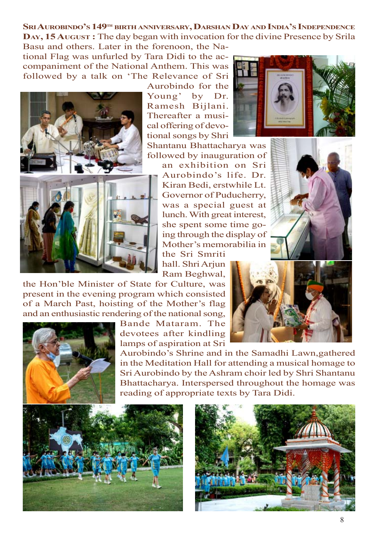**SRI AUROBINDO'S 149TH BIRTH ANNIVERSARY, DARSHAN DAY AND INDIA'S INDEPENDENCE DAY, 15 AUGUST :** The day began with invocation for the divine Presence by Srila Basu and others. Later in the forenoon, the Na-

tional Flag was unfurled by Tara Didi to the accompaniment of the National Anthem. This was followed by a talk on 'The Relevance of Sri



Aurobindo for the Young' by Dr. Ramesh Bijlani. Thereafter a musical offering of devotional songs by Shri

Shantanu Bhattacharya was followed by inauguration of

> an exhibition on Sri Aurobindo's life. Dr. Kiran Bedi, erstwhile Lt. Governor of Puducherry, was a special guest at lunch. With great interest, she spent some time going through the display of Mother's memorabilia in the Sri Smriti

hall. Shri Arjun Ram Beghwal,



the Hon'ble Minister of State for Culture, was present in the evening program which consisted of a March Past, hoisting of the Mother's flag and an enthusiastic rendering of the national song,



Bande Mataram. The devotees after kindling lamps of aspiration at Sri

Aurobindo's Shrine and in the Samadhi Lawn,gathered in the Meditation Hall for attending a musical homage to Sri Aurobindo by the Ashram choir led by Shri Shantanu Bhattacharya. Interspersed throughout the homage was reading of appropriate texts by Tara Didi.



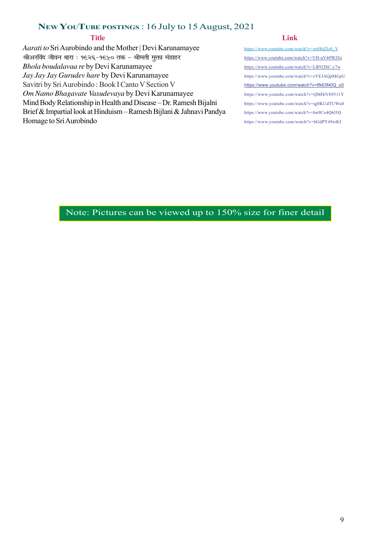#### **NEW YOUTUBE POSTINGS** : 16 July to 15 August, 2021

*Aarati to* Sri Aurobindo and the Mother | Devi Karunamayee श्रीअरविंद जीवन धारा : १९२६-१९५० तक - श्रीमती <u>मु</u>क्ता मंडाहर *Bhola boudalavaa re* by Devi Karunamayee *Jay Jay Jay Gurudev hare* by Devi Karunamayee Savitri by Sri Aurobindo : Book I Canto V Section V *Om Namo Bhagavate Vasudevaya* by Devi Karunamayee Mind Body Relationship in Health and Disease – Dr. Ramesh Bijalni Brief & Impartial look at Hinduism –Ramesh Bijlani & Jahnavi Pandya Homage to Sri Aurobindo https://www.youtube.com/watch?v=bGdPY49srKI

#### Title **Link**

https://www.youtube.com/watch?v=zrtH6ZIz0\_Y https://www.youtube.com/watch?v=VH-uV40WZIo https://www.youtube.com/watch?v=LB92ISC-y7w https://www.youtube.com/watch?v=zYEJAQpMGpU https://www.youtube.com/watch?v=lfk63N0Q\_o0 https://www.youtube.com/watch?v=QMHiV69511Y https://www.youtube.com/watch?v=qj0KUdTUWu0 https://www.youtube.com/watch?v=Im9Co4Q6l3Q

Note: Pictures can be viewed up to 150% size for finer detail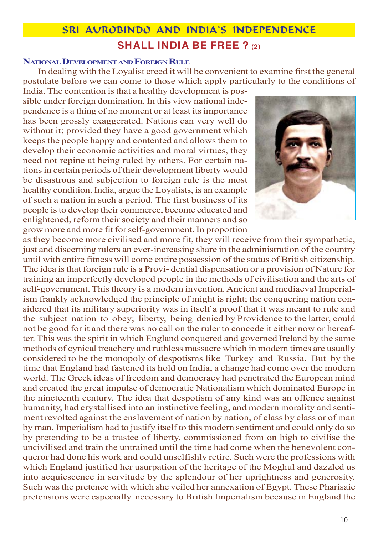## SRI AUROBINDO AND INDIA'S INDEPENDENCE **SHALL INDIA BE FREE ? (2)**

#### **NATIONAL DEVELOPMENTAND FOREIGN RULE**

In dealing with the Loyalist creed it will be convenient to examine first the general postulate before we can come to those which apply particularly to the conditions of

India. The contention is that a healthy development is possible under foreign domination. In this view national independence is a thing of no moment or at least its importance has been grossly exaggerated. Nations can very well do without it; provided they have a good government which keeps the people happy and contented and allows them to develop their economic activities and moral virtues, they need not repine at being ruled by others. For certain nations in certain periods of their development liberty would be disastrous and subjection to foreign rule is the most healthy condition. India, argue the Loyalists, is an example of such a nation in such a period. The first business of its people is to develop their commerce, become educated and enlightened, reform their society and their manners and so grow more and more fit for self-government. In proportion



as they become more civilised and more fit, they will receive from their sympathetic, just and discerning rulers an ever-increasing share in the administration of the country until with entire fitness will come entire possession of the status of British citizenship. The idea is that foreign rule is a Provi- dential dispensation or a provision of Nature for training an imperfectly developed people in the methods of civilisation and the arts of self-government. This theory is a modern invention. Ancient and mediaeval Imperialism frankly acknowledged the principle of might is right; the conquering nation considered that its military superiority was in itself a proof that it was meant to rule and the subject nation to obey; liberty, being denied by Providence to the latter, could not be good for it and there was no call on the ruler to concede it either now or hereafter. This was the spirit in which England conquered and governed Ireland by the same methods of cynical treachery and ruthless massacre which in modern times are usually considered to be the monopoly of despotisms like Turkey and Russia. But by the time that England had fastened its hold on India, a change had come over the modern world. The Greek ideas of freedom and democracy had penetrated the European mind and created the great impulse of democratic Nationalism which dominated Europe in the nineteenth century. The idea that despotism of any kind was an offence against humanity, had crystallised into an instinctive feeling, and modern morality and sentiment revolted against the enslavement of nation by nation, of class by class or of man by man. Imperialism had to justify itself to this modern sentiment and could only do so by pretending to be a trustee of liberty, commissioned from on high to civilise the uncivilised and train the untrained until the time had come when the benevolent conqueror had done his work and could unselfishly retire. Such were the professions with which England justified her usurpation of the heritage of the Moghul and dazzled us into acquiescence in servitude by the splendour of her uprightness and generosity. Such was the pretence with which she veiled her annexation of Egypt. These Pharisaic pretensions were especially necessary to British Imperialism because in England the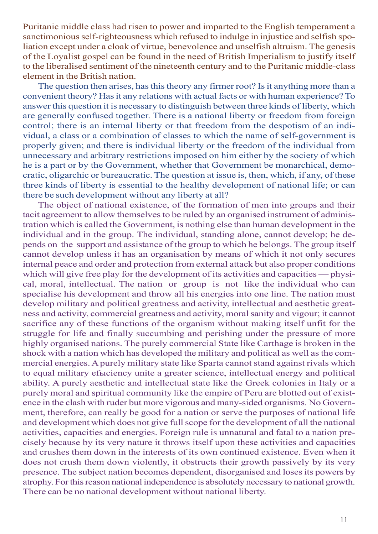Puritanic middle class had risen to power and imparted to the English temperament a sanctimonious self-righteousness which refused to indulge in injustice and selfish spoliation except under a cloak of virtue, benevolence and unselfish altruism. The genesis of the Loyalist gospel can be found in the need of British Imperialism to justify itself to the liberalised sentiment of the nineteenth century and to the Puritanic middle-class element in the British nation.

The question then arises, has this theory any firmer root? Is it anything more than a convenient theory? Has it any relations with actual facts or with human experience? To answer this question it is necessary to distinguish between three kinds of liberty, which are generally confused together. There is a national liberty or freedom from foreign control; there is an internal liberty or that freedom from the despotism of an individual, a class or a combination of classes to which the name of self-government is properly given; and there is individual liberty or the freedom of the individual from unnecessary and arbitrary restrictions imposed on him either by the society of which he is a part or by the Government, whether that Government be monarchical, democratic, oligarchic or bureaucratic. The question at issue is, then, which, if any, of these three kinds of liberty is essential to the healthy development of national life; or can there be such development without any liberty at all?

The object of national existence, of the formation of men into groups and their tacit agreement to allow themselves to be ruled by an organised instrument of administration which is called the Government, is nothing else than human development in the individual and in the group. The individual, standing alone, cannot develop; he depends on the support and assistance of the group to which he belongs. The group itself cannot develop unless it has an organisation by means of which it not only secures internal peace and order and protection from external attack but also proper conditions which will give free play for the development of its activities and capacities — physical, moral, intellectual. The nation or group is not like the individual who can specialise his development and throw all his energies into one line. The nation must develop military and political greatness and activity, intellectual and aesthetic greatness and activity, commercial greatness and activity, moral sanity and vigour; it cannot sacrifice any of these functions of the organism without making itself unfit for the struggle for life and finally succumbing and perishing under the pressure of more highly organised nations. The purely commercial State like Carthage is broken in the shock with a nation which has developed the military and political as well as the commercial energies. A purely military state like Sparta cannot stand against rivals which to equal military efficiency unite a greater science, intellectual energy and political ability. A purely aesthetic and intellectual state like the Greek colonies in Italy or a purely moral and spiritual community like the empire of Peru are blotted out of existence in the clash with ruder but more vigorous and many-sided organisms. No Government, therefore, can really be good for a nation or serve the purposes of national life and development which does not give full scope for the development of all the national activities, capacities and energies. Foreign rule is unnatural and fatal to a nation precisely because by its very nature it throws itself upon these activities and capacities and crushes them down in the interests of its own continued existence. Even when it does not crush them down violently, it obstructs their growth passively by its very presence. The subject nation becomes dependent, disorganised and loses its powers by atrophy. For this reason national independence is absolutely necessary to national growth. There can be no national development without national liberty.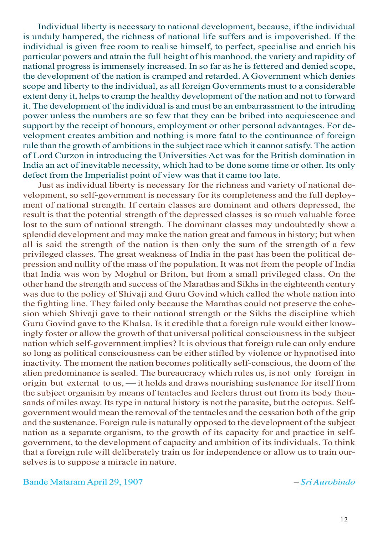Individual liberty is necessary to national development, because, if the individual is unduly hampered, the richness of national life suffers and is impoverished. If the individual is given free room to realise himself, to perfect, specialise and enrich his particular powers and attain the full height of his manhood, the variety and rapidity of national progress is immensely increased. In so far as he is fettered and denied scope, the development of the nation is cramped and retarded. A Government which denies scope and liberty to the individual, as all foreign Governments must to a considerable extent deny it, helps to cramp the healthy development of the nation and not to forward it. The development of the individual is and must be an embarrassment to the intruding power unless the numbers are so few that they can be bribed into acquiescence and support by the receipt of honours, employment or other personal advantages. For development creates ambition and nothing is more fatal to the continuance of foreign rule than the growth of ambitions in the subject race which it cannot satisfy. The action of Lord Curzon in introducing the Universities Act was for the British domination in India an act of inevitable necessity, which had to be done some time or other. Its only defect from the Imperialist point of view was that it came too late.

Just as individual liberty is necessary for the richness and variety of national development, so self-government is necessary for its completeness and the full deployment of national strength. If certain classes are dominant and others depressed, the result is that the potential strength of the depressed classes is so much valuable force lost to the sum of national strength. The dominant classes may undoubtedly show a splendid development and may make the nation great and famous in history; but when all is said the strength of the nation is then only the sum of the strength of a few privileged classes. The great weakness of India in the past has been the political depression and nullity of the mass of the population. It was not from the people of India that India was won by Moghul or Briton, but from a small privileged class. On the other hand the strength and success of the Marathas and Sikhs in the eighteenth century was due to the policy of Shivaji and Guru Govind which called the whole nation into the fighting line. They failed only because the Marathas could not preserve the cohesion which Shivaji gave to their national strength or the Sikhs the discipline which Guru Govind gave to the Khalsa. Is it credible that a foreign rule would either knowingly foster or allow the growth of that universal political consciousness in the subject nation which self-government implies? It is obvious that foreign rule can only endure so long as political consciousness can be either stifled by violence or hypnotised into inactivity. The moment the nation becomes politically self-conscious, the doom of the alien predominance is sealed. The bureaucracy which rules us, is not only foreign in origin but external to us, — it holds and draws nourishing sustenance for itself from the subject organism by means of tentacles and feelers thrust out from its body thousands of miles away. Its type in natural history is not the parasite, but the octopus. Selfgovernment would mean the removal of the tentacles and the cessation both of the grip and the sustenance. Foreign rule is naturally opposed to the development of the subject nation as a separate organism, to the growth of its capacity for and practice in selfgovernment, to the development of capacity and ambition of its individuals. To think that a foreign rule will deliberately train us for independence or allow us to train ourselves is to suppose a miracle in nature.

Bande Mataram April 29, 1907 – *Sri Aurobindo*